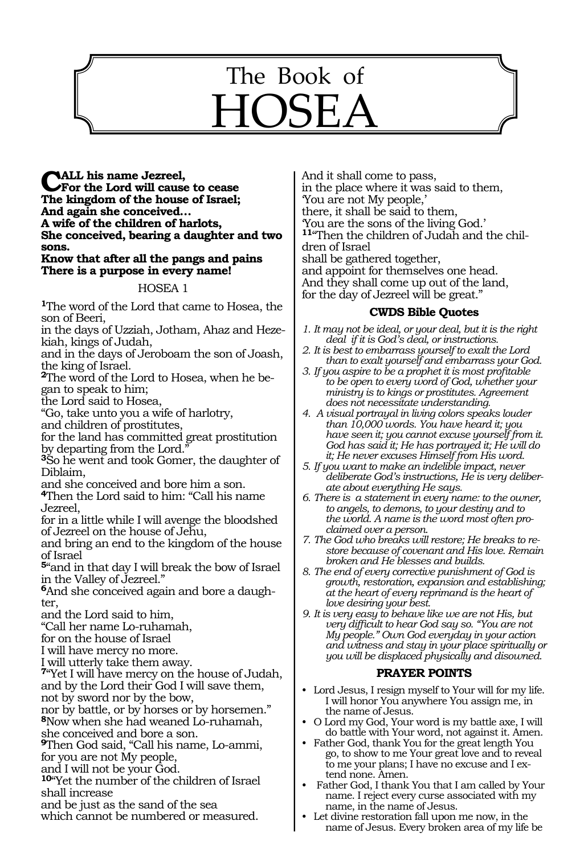# The Book of HOSEA

1110

**Call his name Jezreel, For the Lord will cause to cease The kingdom of the house of Israel; And again she conceived… A wife of the children of harlots, She conceived, bearing a daughter and two sons.**

#### **Know that after all the pangs and pains There is a purpose in every name!**

#### HOSEA 1

**<sup>1</sup>**The word of the Lord that came to Hosea, the son of Beeri,

in the days of Uzziah, Jotham, Ahaz and Hezekiah, kings of Judah,

and in the days of Jeroboam the son of Joash, the king of Israel.

**2**The word of the Lord to Hosea, when he began to speak to him;

the Lord said to Hosea,

"Go, take unto you a wife of harlotry,

and children of prostitutes,

for the land has committed great prostitution by departing from the Lord.

**<sup>3</sup>**So he went and took Gomer, the daughter of Diblaim,

and she conceived and bore him a son.

**<sup>4</sup>**Then the Lord said to him: "Call his name Jezreel,

for in a little while I will avenge the bloodshed of Jezreel on the house of Jehu,

and bring an end to the kingdom of the house of Israel

**<sup>5</sup>**"and in that day I will break the bow of Israel in the Valley of Jezreel."

**6**And she conceived again and bore a daughter,

and the Lord said to him,

"Call her name Lo-ruhamah,

for on the house of Israel

I will have mercy no more.

I will utterly take them away.

**<sup>7</sup>**"Yet I will have mercy on the house of Judah, and by the Lord their God I will save them, not by sword nor by the bow,

nor by battle, or by horses or by horsemen."

**<sup>8</sup>**Now when she had weaned Lo-ruhamah, she conceived and bore a son.

**<sup>9</sup>**Then God said, "Call his name, Lo-ammi, for you are not My people,

and I will not be your God.

**<sup>10</sup>**"Yet the number of the children of Israel shall increase

and be just as the sand of the sea

which cannot be numbered or measured.

And it shall come to pass, in the place where it was said to them, 'You are not My people,' there, it shall be said to them, 'You are the sons of the living God.' **<sup>11</sup>**"Then the children of Judah and the chil- dren of Israel shall be gathered together, and appoint for themselves one head. And they shall come up out of the land, for the day of Jezreel will be great."

#### **CWDS Bible Quotes**

- *1. It may not be ideal, or your deal, but it is the right deal if it is God's deal, or instructions.*
- *2. It is best to embarrass yourself to exalt the Lord than to exalt yourself and embarrass your God.*
- *3. If you aspire to be a prophet it is most profitable to be open to every word of God, whether your ministry is to kings or prostitutes. Agreement does not necessitate understanding.*
- *4. A visual portrayal in living colors speaks louder than 10,000 words. You have heard it; you have seen it; you cannot excuse yourself from it. God has said it; He has portrayed it; He will do it; He never excuses Himself from His word.*
- *5. If you want to make an indelible impact, never deliberate God's instructions, He is very deliberate about everything He says.*
- *6. There is a statement in every name: to the owner, to angels, to demons, to your destiny and to the world. A name is the word most often proclaimed over a person.*
- *7. The God who breaks will restore; He breaks to restore because of covenant and His love. Remain broken and He blesses and builds.*
- *8. The end of every corrective punishment of God is growth, restoration, expansion and establishing; at the heart of every reprimand is the heart of love desiring your best.*
- *9. It is very easy to behave like we are not His, but very difficult to hear God say so. "You are not My people." Own God everyday in your action and witness and stay in your place spiritually or you will be displaced physically and disowned.*

#### **PRAYER POINTS**

- • Lord Jesus, I resign myself to Your will for my life. I will honor You anywhere You assign me, in the name of Jesus.
- • O Lord my God, Your word is my battle axe, I will do battle with Your word, not against it. Amen.
- Father God, thank You for the great length You go, to show to me Your great love and to reveal to me your plans; I have no excuse and I extend none. Amen.
- Father God, I thank You that I am called by Your name. I reject every curse associated with my name, in the name of Jesus.
- Let divine restoration fall upon me now, in the name of Jesus. Every broken area of my life be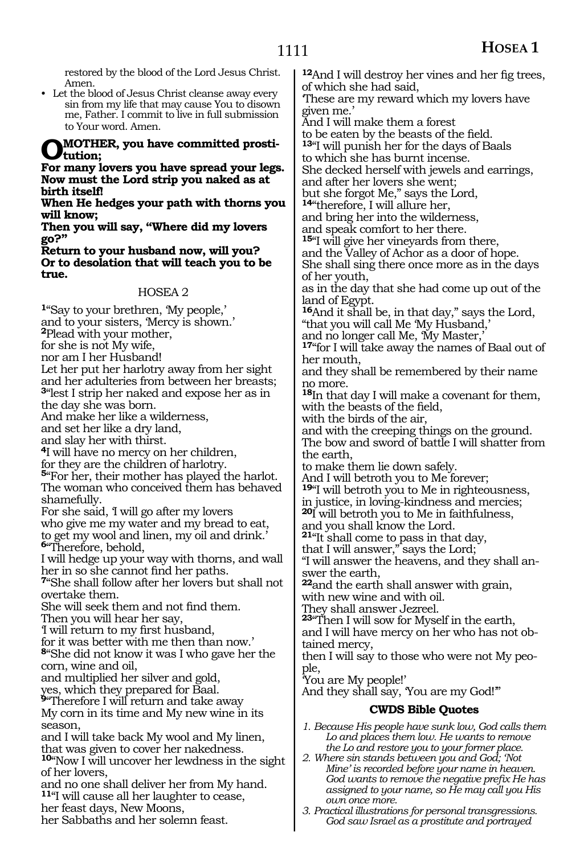restored by the blood of the Lord Jesus Christ. Amen.

• Let the blood of Jesus Christ cleanse away every sin from my life that may cause You to disown me, Father. I commit to live in full submission to Your word. Amen.

## **O mother, you have committed prosti- tution;**

**For many lovers you have spread your legs. Now must the Lord strip you naked as at birth itself!**

**When He hedges your path with thorns you will know;**

**Then you will say, "Where did my lovers go?"**

**Return to your husband now, will you? Or to desolation that will teach you to be true.**

#### HOSEA 2

**<sup>1</sup>**"Say to your brethren, 'My people,' and to your sisters, 'Mercy is shown.' **<sup>2</sup>**Plead with your mother, for she is not My wife, nor am I her Husband! Let her put her harlotry away from her sight and her adulteries from between her breasts; **<sup>3</sup>**"lest I strip her naked and expose her as in the day she was born. And make her like a wilderness, and set her like a dry land, and slay her with thirst. **<sup>4</sup>**I will have no mercy on her children, for they are the children of harlotry. **<sup>5</sup>**"For her, their mother has played the harlot. The woman who conceived them has behaved shamefully.

For she said, 'I will go after my lovers

who give me my water and my bread to eat, to get my wool and linen, my oil and drink.' **<sup>6</sup>**"Therefore, behold,

I will hedge up your way with thorns, and wall

her in so she cannot find her paths. **<sup>7</sup>**"She shall follow after her lovers but shall not overtake them.

She will seek them and not find them. Then you will hear her say,

'I will return to my first husband,

for it was better with me then than now.'

**<sup>8</sup>**"She did not know it was I who gave her the corn, wine and oil,

and multiplied her silver and gold,

yes, which they prepared for Baal.

**<sup>9</sup>**"Therefore I will return and take away My corn in its time and My new wine in its

season,

and I will take back My wool and My linen, that was given to cover her nakedness.

**<sup>10</sup>**"Now I will uncover her lewdness in the sight of her lovers,

and no one shall deliver her from My hand. **<sup>11</sup>**"I will cause all her laughter to cease,

her feast days, New Moons,

her Sabbaths and her solemn feast.

**<sup>12</sup>**And I will destroy her vines and her fig trees, of which she had said, 'These are my reward which my lovers have

given me.' And I will make them a forest

to be eaten by the beasts of the field.

**<sup>13</sup>**"I will punish her for the days of Baals

to which she has burnt incense.

She decked herself with jewels and earrings,

and after her lovers she went;

but she forgot Me," says the Lord, **<sup>14</sup>**"therefore, I will allure her,

and bring her into the wilderness, and speak comfort to her there.

**<sup>15</sup>**"I will give her vineyards from there,

and the Valley of Achor as a door of hope. She shall sing there once more as in the days of her youth,

as in the day that she had come up out of the land of Egypt.

**<sup>16</sup>**And it shall be, in that day," says the Lord, "that you will call Me 'My Husband,'

and no longer call Me, 'My Master,'

**<sup>17</sup>**"for I will take away the names of Baal out of her mouth,

and they shall be remembered by their name no more.

**<sup>18</sup>**In that day I will make a covenant for them, with the beasts of the field,

with the birds of the air,

and with the creeping things on the ground. The bow and sword of battle I will shatter from the earth,

to make them lie down safely.

And I will betroth you to Me forever;

**<sup>19</sup>**"I will betroth you to Me in righteousness,

in justice, in loving-kindness and mercies;

**<sup>20</sup>**I will betroth you to Me in faithfulness,

and you shall know the Lord.

**<sup>21</sup>**"It shall come to pass in that day,

that I will answer," says the Lord;

"I will answer the heavens, and they shall answer the earth,

**<sup>22</sup>**and the earth shall answer with grain, with new wine and with oil.

They shall answer Jezreel.

**<sup>23</sup>**"Then I will sow for Myself in the earth, and I will have mercy on her who has not obtained mercy,

then I will say to those who were not My people,

'You are My people!'

And they shall say, 'You are my God!'"

#### **CWDS Bible Quotes**

*1. Because His people have sunk low, God calls them Lo and places them low. He wants to remove the Lo and restore you to your former place.*

*2. Where sin stands between you and God; 'Not Mine' is recorded before your name in heaven. God wants to remove the negative prefix He has assigned to your name, so He may call you His own once more.*

*3. Practical illustrations for personal transgressions. God saw Israel as a prostitute and portrayed*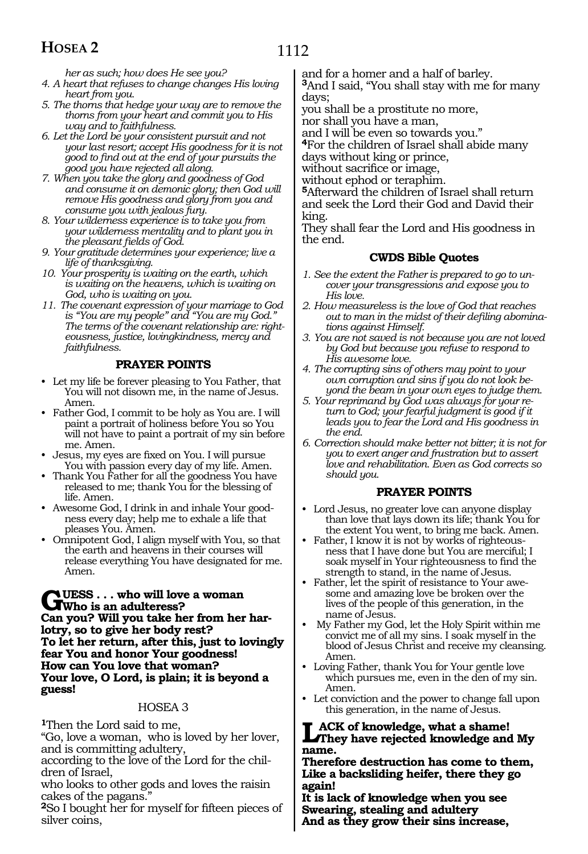1112

*her as such; how does He see you?*

- *4. A heart that refuses to change changes His loving heart from you.*
- *5. The thorns that hedge your way are to remove the thorns from your heart and commit you to His way and to faithfulness.*
- *6. Let the Lord be your consistent pursuit and not your last resort; accept His goodness for it is not good to find out at the end of your pursuits the good you have rejected all along.*
- *7. When you take the glory and goodness of God and consume it on demonic glory; then God will remove His goodness and glory from you and consume you with jealous fury.*
- *8. Your wilderness experience is to take you from your wilderness mentality and to plant you in the pleasant fields of God.*
- *9. Your gratitude determines your experience; live a life of thanksgiving.*
- *10. Your prosperity is waiting on the earth, which is waiting on the heavens, which is waiting on God, who is waiting on you.*
- *11. The covenant expression of your marriage to God is "You are my people" and "You are my God." The terms of the covenant relationship are: righteousness, justice, lovingkindness, mercy and faithfulness.*

#### **PRAYER POINTS**

- • Let my life be forever pleasing to You Father, that You will not disown me, in the name of Jesus. Amen.
- • Father God, I commit to be holy as You are. I will paint a portrait of holiness before You so You will not have to paint a portrait of my sin before me. Amen.
- • Jesus, my eyes are fixed on You. I will pursue You with passion every day of my life. Amen.
- Thank You Father for all the goodness You have released to me; thank You for the blessing of life. Amen.
- Awesome God, I drink in and inhale Your goodness every day; help me to exhale a life that pleases You. Amen.
- Omnipotent God, I align myself with You, so that the earth and heavens in their courses will release everything You have designated for me. Amen.

#### **GUESS** . . . who will love a woman<br> **GUESS** an adulteress?<br> **Con you?** Will you take beg from her **Can you? Will you take her from her harlotry, so to give her body rest? To let her return, after this, just to lovingly fear You and honor Your goodness! How can You love that woman? Your love, O Lord, is plain; it is beyond a guess!**

#### HOSEA 3

**<sup>1</sup>**Then the Lord said to me,

"Go, love a woman, who is loved by her lover, and is committing adultery,

according to the love of the Lord for the chil- dren of Israel,

who looks to other gods and loves the raisin cakes of the pagans."

**<sup>2</sup>**So I bought her for myself for fifteen pieces of silver coins,

and for a homer and a half of barley.

**<sup>3</sup>**And I said, "You shall stay with me for many days;

you shall be a prostitute no more, nor shall you have a man,

and I will be even so towards you."

**<sup>4</sup>**For the children of Israel shall abide many days without king or prince,

without sacrifice or image,

without ephod or teraphim.

**<sup>5</sup>**Afterward the children of Israel shall return and seek the Lord their God and David their king.

They shall fear the Lord and His goodness in the end.

#### **CWDS Bible Quotes**

- *1. See the extent the Father is prepared to go to uncover your transgressions and expose you to His love.*
- *2. How measureless is the love of God that reaches out to man in the midst of their defiling abominations against Himself.*
- *3. You are not saved is not because you are not loved by God but because you refuse to respond to His awesome love.*
- *4. The corrupting sins of others may point to your own corruption and sins if you do not look beyond the beam in your own eyes to judge them.*
- *5. Your reprimand by God was always for your return to God; your fearful judgment is good if it leads you to fear the Lord and His goodness in the end.*
- *6. Correction should make better not bitter; it is not for you to exert anger and frustration but to assert love and rehabilitation. Even as God corrects so should you.*

#### **PRAYER POINTS**

- Lord Jesus, no greater love can anyone display than love that lays down its life; thank You for the extent You went, to bring me back. Amen.
- Father, I know it is not by works of righteousness that I have done but You are merciful; I soak myself in Your righteousness to find the strength to stand, in the name of Jesus.
- Father, let the spirit of resistance to Your awesome and amazing love be broken over the lives of the people of this generation, in the name of Jesus.
- My Father my God, let the Holy Spirit within me convict me of all my sins. I soak myself in the blood of Jesus Christ and receive my cleansing. Amen.
- • Loving Father, thank You for Your gentle love which pursues me, even in the den of my sin. Amen.
- • Let conviction and the power to change fall upon this generation, in the name of Jesus.

#### **Lack of knowledge, what a shame! They have rejected knowledge and My name.**

**Therefore destruction has come to them, Like a backsliding heifer, there they go again!**

**It is lack of knowledge when you see Swearing, stealing and adultery And as they grow their sins increase,**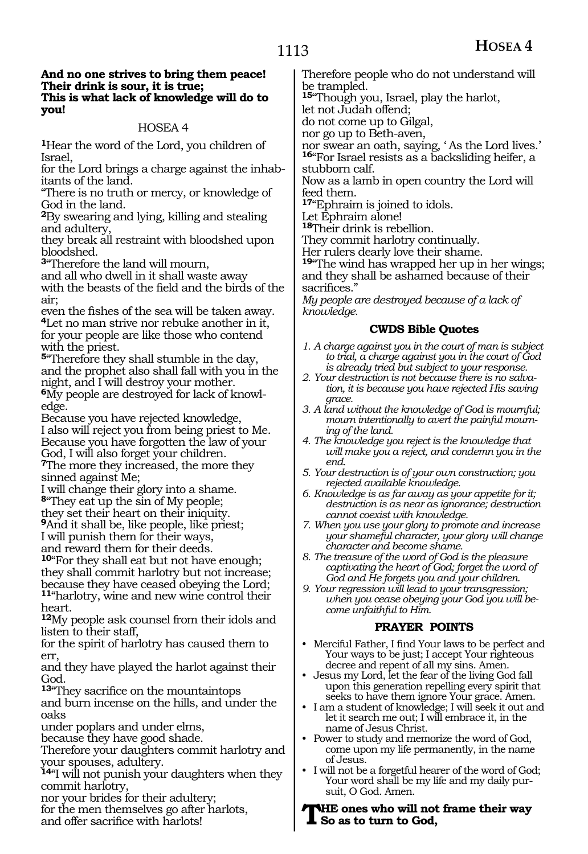#### **And no one strives to bring them peace! Their drink is sour, it is true; This is what lack of knowledge will do to you!**

#### HOSEA 4

**<sup>1</sup>**Hear the word of the Lord, you children of Israel,

for the Lord brings a charge against the inhabitants of the land.

"There is no truth or mercy, or knowledge of God in the land.

**<sup>2</sup>**By swearing and lying, killing and stealing and adultery,

they break all restraint with bloodshed upon bloodshed.

**<sup>3</sup>**"Therefore the land will mourn,

and all who dwell in it shall waste away with the beasts of the field and the birds of the

air;<br>even the fishes of the sea will be taken away. <sup>4</sup>Let no man strive nor rebuke another in it, for your people are like those who contend with the priest.

**<sup>5</sup>**"Therefore they shall stumble in the day, and the prophet also shall fall with you in the night, and I will destroy your mother.

**6**My people are destroyed for lack of knowledge.

Because you have rejected knowledge, I also will reject you from being priest to Me. Because you have forgotten the law of your God, I will also forget your children.

**<sup>7</sup>**The more they increased, the more they sinned against Me;

I will change their glory into a shame. **<sup>8</sup>**"They eat up the sin of My people;

they set their heart on their iniquity.

**<sup>9</sup>**And it shall be, like people, like priest;

I will punish them for their ways,

and reward them for their deeds.

**<sup>10</sup>**"For they shall eat but not have enough; they shall commit harlotry but not increase; because they have ceased obeying the Lord; **<sup>11</sup>**"harlotry, wine and new wine control their heart.

**<sup>12</sup>**My people ask counsel from their idols and listen to their staff,

for the spirit of harlotry has caused them to err,

and they have played the harlot against their God.

**<sup>13</sup>**"They sacrifice on the mountaintops

and burn incense on the hills, and under the oaks

under poplars and under elms,

because they have good shade.

Therefore your daughters commit harlotry and your spouses, adultery.

**<sup>14</sup>**"I will not punish your daughters when they commit harlotry,

nor your brides for their adultery;

for the men themselves go after harlots,

and offer sacrifice with harlots!

Therefore people who do not understand will be trampled.

**<sup>15</sup>**"Though you, Israel, play the harlot,

let not Judah offend;

do not come up to Gilgal,

nor go up to Beth-aven,

nor swear an oath, saying, ' As the Lord lives.' **<sup>16</sup>**"For Israel resists as a backsliding heifer, a stubborn calf.

Now as a lamb in open country the Lord will feed them.

**<sup>17</sup>**"Ephraim is joined to idols.

Let Ephraim alone!

**<sup>18</sup>**Their drink is rebellion.

They commit harlotry continually.

Her rulers dearly love their shame.

**<sup>19</sup>**"The wind has wrapped her up in her wings; and they shall be ashamed because of their sacrifices.'

*My people are destroyed because of a lack of knowledge.*

#### **CWDS Bible Quotes**

- *1. A charge against you in the court of man is subject to trial, a charge against you in the court of God is already tried but subject to your response.*
- *2. Your destruction is not because there is no salvation, it is because you have rejected His saving grace.*
- *3. A land without the knowledge of God is mournful; mourn intentionally to avert the painful mourning of the land.*
- *4. The knowledge you reject is the knowledge that will make you a reject, and condemn you in the end.*
- *5. Your destruction is of your own construction; you rejected available knowledge.*
- *6. Knowledge is as far away as your appetite for it; destruction is as near as ignorance; destruction cannot coexist with knowledge.*
- *7. When you use your glory to promote and increase your shameful character, your glory will change character and become shame.*

*8. The treasure of the word of God is the pleasure captivating the heart of God; forget the word of God and He forgets you and your children.*

*9. Your regression will lead to your transgression; when you cease obeying your God you will become unfaithful to Him.*

#### **PRAYER POINTS**

- Merciful Father, I find Your laws to be perfect and Your ways to be just; I accept Your righteous decree and repent of all my sins. Amen.
- Jesus my Lord, let the fear of the living God fall upon this generation repelling every spirit that seeks to have them ignore Your grace. Amen.
- I am a student of knowledge; I will seek it out and let it search me out; I will embrace it, in the name of Jesus Christ.
- Power to study and memorize the word of God, come upon my life permanently, in the name of Jesus.
- I will not be a forgetful hearer of the word of God; Your word shall be my life and my daily pursuit, O God. Amen.

**The ones who will not frame their way So as to turn to God,**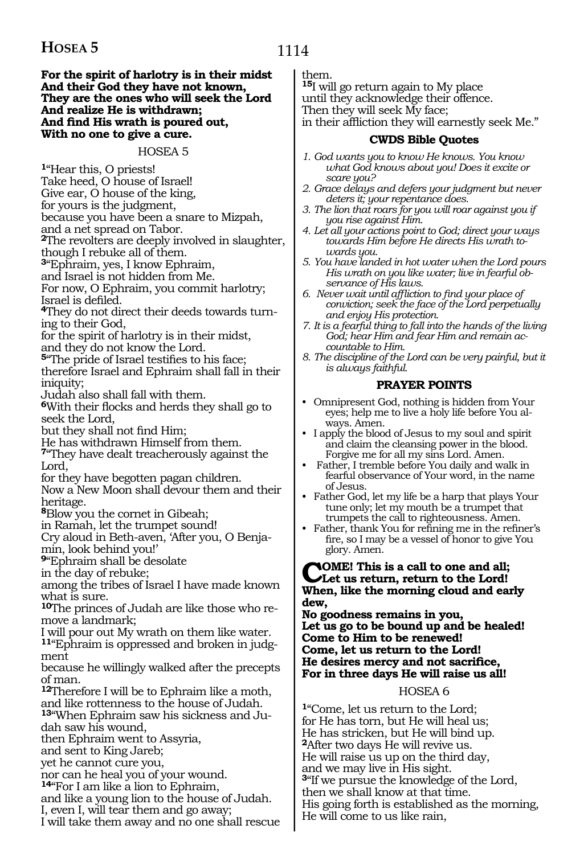#### **For the spirit of harlotry is in their midst And their God they have not known, They are the ones who will seek the Lord And realize He is withdrawn; And find His wrath is poured out, With no one to give a cure.**

#### HOSEA 5

**<sup>1</sup>**"Hear this, O priests!

Take heed, O house of Israel!

Give ear, O house of the king,

for yours is the judgment,

because you have been a snare to Mizpah,

and a net spread on Tabor.

**<sup>2</sup>**The revolters are deeply involved in slaughter, though I rebuke all of them.

**<sup>3</sup>**"Ephraim, yes, I know Ephraim,

and Israel is not hidden from Me.

For now, O Ephraim, you commit harlotry;

Israel is defiled. **<sup>4</sup>**They do not direct their deeds towards turn- ing to their God,

for the spirit of harlotry is in their midst, and they do not know the Lord.

**<sup>5</sup>**"The pride of Israel testifies to his face;

therefore Israel and Ephraim shall fall in their iniquity;

Judah also shall fall with them.

**<sup>6</sup>**With their flocks and herds they shall go to seek the Lord,

but they shall not find Him;

He has withdrawn Himself from them.

**<sup>7</sup>**"They have dealt treacherously against the Lord,

for they have begotten pagan children.

Now a New Moon shall devour them and their heritage.

**<sup>8</sup>**Blow you the cornet in Gibeah;

in Ramah, let the trumpet sound!

Cry aloud in Beth-aven, 'After you, O Benjamin, look behind you!'

**<sup>9</sup>**"Ephraim shall be desolate

in the day of rebuke;

among the tribes of Israel I have made known what is sure.

**10**The princes of Judah are like those who remove a landmark;

I will pour out My wrath on them like water.

**11**"Ephraim is oppressed and broken in judgment

because he willingly walked after the precepts of man.

**<sup>12</sup>**Therefore I will be to Ephraim like a moth, and like rottenness to the house of Judah.

**13**"When Ephraim saw his sickness and Judah saw his wound,

then Ephraim went to Assyria,

and sent to King Jareb;

yet he cannot cure you,

nor can he heal you of your wound.

**<sup>14</sup>**"For I am like a lion to Ephraim,

and like a young lion to the house of Judah.

I, even I, will tear them and go away;

I will take them away and no one shall rescue

them.

**<sup>15</sup>**I will go return again to My place until they acknowledge their offence. Then they will seek My face; in their affliction they will earnestly seek Me."

#### **CWDS Bible Quotes**

- *1. God wants you to know He knows. You know what God knows about you! Does it excite or scare you?*
- *2. Grace delays and defers your judgment but never deters it; your repentance does.*
- *3. The lion that roars for you will roar against you if you rise against Him.*
- *4. Let all your actions point to God; direct your ways towards Him before He directs His wrath towards you.*
- *5. You have landed in hot water when the Lord pours His wrath on you like water; live in fearful observance of His laws.*
- *6. Never wait until affliction to find your place of conviction; seek the face of the Lord perpetually and enjoy His protection.*
- *7. It is a fearful thing to fall into the hands of the living God; hear Him and fear Him and remain accountable to Him.*
- *8. The discipline of the Lord can be very painful, but it is always faithful.*

#### **PRAYER POINTS**

- • Omnipresent God, nothing is hidden from Your eyes; help me to live a holy life before You always. Amen.
- I apply the blood of Jesus to my soul and spirit and claim the cleansing power in the blood. Forgive me for all my sins Lord. Amen.
- Father, I tremble before You daily and walk in fearful observance of Your word, in the name of Jesus.
- Father God, let my life be a harp that plays Your tune only; let my mouth be a trumpet that trumpets the call to righteousness. Amen.
- Father, thank You for refining me in the refiner's fire, so I may be a vessel of honor to give You glory. Amen.

### **COME!** This is a call to one and all;<br>Let us return, return to the Lord!<br>When like the merging aloud and as **When, like the morning cloud and early dew,**

**No goodness remains in you, Let us go to be bound up and be healed! Come to Him to be renewed! Come, let us return to the Lord! He desires mercy and not sacrifice, For in three days He will raise us all!**

#### HOSEA 6

**<sup>1</sup>**"Come, let us return to the Lord; for He has torn, but He will heal us; He has stricken, but He will bind up. **<sup>2</sup>**After two days He will revive us. He will raise us up on the third day, and we may live in His sight. **<sup>3</sup>**"If we pursue the knowledge of the Lord, then we shall know at that time. His going forth is established as the morning, He will come to us like rain,

### 1114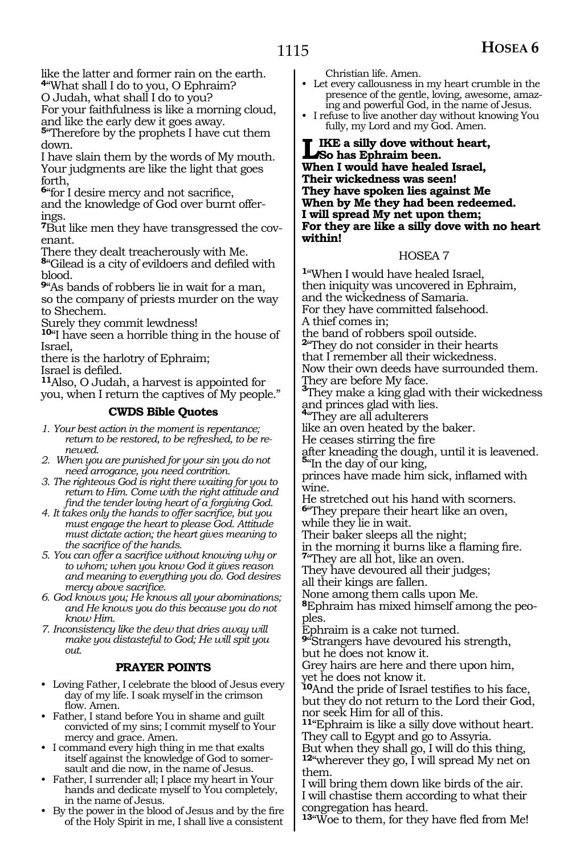like the latter and former rain on the earth. **<sup>4</sup>**"What shall I do to you, O Ephraim?

O Judah, what shall I do to you?

For your faithfulness is like a morning cloud, and like the early dew it goes away.

**<sup>5</sup>**"Therefore by the prophets I have cut them down.

I have slain them by the words of My mouth. Your judgments are like the light that goes forth,

**<sup>6</sup>**"for I desire mercy and not sacrifice, and the knowledge of God over burnt offer-

ings.

**7**But like men they have transgressed the covenant.

There they dealt treacherously with Me.

**<sup>8</sup>**"Gilead is a city of evildoers and defiled with blood.

**<sup>9</sup>**"As bands of robbers lie in wait for a man, so the company of priests murder on the way to Shechem.

Surely they commit lewdness!

**<sup>10</sup>**"I have seen a horrible thing in the house of Israel,

there is the harlotry of Ephraim;

11<sub>Also, O Judah, a harvest is appointed for</sub> you, when I return the captives of My people."

#### **CWDS Bible Quotes**

*1. Your best action in the moment is repentance; return to be restored, to be refreshed, to be renewed.*

- *2. When you are punished for your sin you do not need arrogance, you need contrition.*
- *3. The righteous God is right there waiting for you to return to Him. Come with the right attitude and find the tender loving heart of a forgiving God.*
- *4. It takes only the hands to offer sacrifice, but you must engage the heart to please God. Attitude must dictate action; the heart gives meaning to the sacrifice of the hands.*
- *5. You can offer a sacrifice without knowing why or to whom; when you know God it gives reason and meaning to everything you do. God desires mercy above sacrifice.*
- *6. God knows you; He knows all your abominations; and He knows you do this because you do not know Him.*

*7. Inconsistency like the dew that dries away will make you distasteful to God; He will spit you out.*

#### **PRAYER POINTS**

- Loving Father, I celebrate the blood of Jesus every day of my life. I soak myself in the crimson flow. Amen.
- Father, I stand before You in shame and guilt convicted of my sins; I commit myself to Your mercy and grace. Amen.
- I command every high thing in me that exalts itself against the knowledge of God to somersault and die now, in the name of Jesus.
- • Father, I surrender all; I place my heart in Your hands and dedicate myself to You completely, in the name of Jesus.
- • By the power in the blood of Jesus and by the fire of the Holy Spirit in me, I shall live a consistent

Christian life. Amen.

- • Let every callousness in my heart crumble in the presence of the gentle, loving, awesome, amazing and powerful God, in the name of Jesus.
- • I refuse to live another day without knowing You fully, my Lord and my God. Amen.

#### **Like a silly dove without heart, So has Ephraim been. When I would have healed Israel, Their wickedness was seen! They have spoken lies against Me When by Me they had been redeemed. I will spread My net upon them; For they are like a silly dove with no heart within!**

#### HOSEA 7

**<sup>1</sup>**"When I would have healed Israel, then iniquity was uncovered in Ephraim, and the wickedness of Samaria. For they have committed falsehood. A thief comes in; the band of robbers spoil outside. **<sup>2</sup>**"They do not consider in their hearts that I remember all their wickedness. Now their own deeds have surrounded them. They are before My face. **<sup>3</sup>**They make a king glad with their wickedness and princes glad with lies. **<sup>4</sup>**"They are all adulterers like an oven heated by the baker. He ceases stirring the fire after kneading the dough, until it is leavened. **<sup>5</sup>**"In the day of our king, princes have made him sick, inflamed with wine. He stretched out his hand with scorners. **<sup>6</sup>**"They prepare their heart like an oven, while they lie in wait. Their baker sleeps all the night; in the morning it burns like a flaming fire. **<sup>7</sup>**"They are all hot, like an oven. They have devoured all their judges; all their kings are fallen. None among them calls upon Me. **8**Ephraim has mixed himself among the peoples. Ephraim is a cake not turned. **<sup>9</sup>**"Strangers have devoured his strength, but he does not know it. Grey hairs are here and there upon him, yet he does not know it. **<sup>10</sup>**And the pride of Israel testifies to his face, but they do not return to the Lord their God, nor seek Him for all of this. **<sup>11</sup>**"Ephraim is like a silly dove without heart. They call to Egypt and go to Assyria. But when they shall go, I will do this thing, **<sup>12</sup>**"wherever they go, I will spread My net on them.

I will bring them down like birds of the air. I will chastise them according to what their congregation has heard.

**<sup>13</sup>**"Woe to them, for they have fled from Me!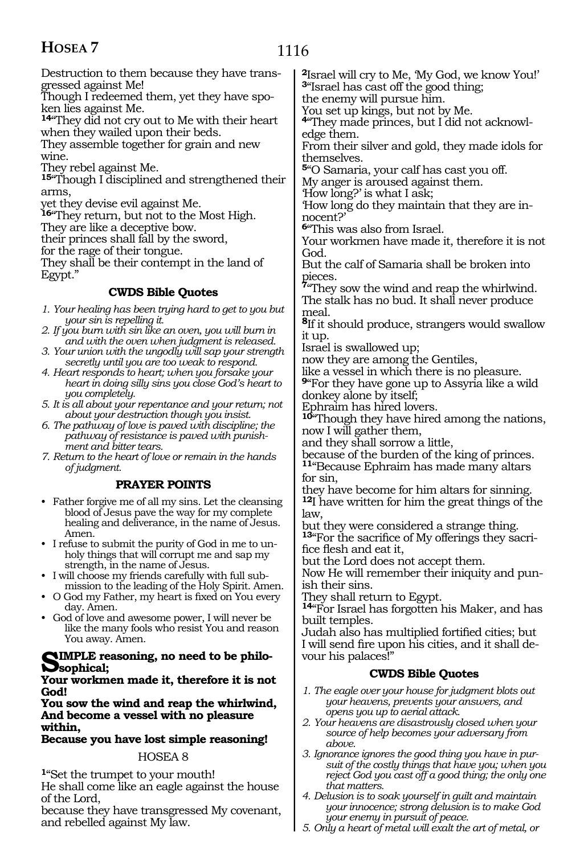Destruction to them because they have transgressed against Me!

Though I redeemed them, yet they have spoken lies against Me.

**<sup>14</sup>**"They did not cry out to Me with their heart when they wailed upon their beds.

They assemble together for grain and new wine.

They rebel against Me.

**<sup>15</sup>**"Though I disciplined and strengthened their arms,

yet they devise evil against Me.

**<sup>16</sup>**"They return, but not to the Most High.

They are like a deceptive bow.

their princes shall fall by the sword,

for the rage of their tongue.

They shall be their contempt in the land of Egypt."

#### **CWDS Bible Quotes**

- *1. Your healing has been trying hard to get to you but your sin is repelling it.*
- *2. If you burn with sin like an oven, you will burn in and with the oven when judgment is released.*
- *3. Your union with the ungodly will sap your strength secretly until you are too weak to respond.*
- *4. Heart responds to heart; when you forsake your heart in doing silly sins you close God's heart to you completely.*
- *5. It is all about your repentance and your return; not about your destruction though you insist.*
- *6. The pathway of love is paved with discipline; the pathway of resistance is paved with punishment and bitter tears.*

*7. Return to the heart of love or remain in the hands of judgment.*

#### **PRAYER POINTS**

- Father forgive me of all my sins. Let the cleansing blood of Jesus pave the way for my complete healing and deliverance, in the name of Jesus. Amen.
- • I refuse to submit the purity of God in me to unholy things that will corrupt me and sap my strength, in the name of Jesus.
- • I will choose my friends carefully with full submission to the leading of the Holy Spirit. Amen.
- O God my Father, my heart is fixed on You every day. Amen.
- • God of love and awesome power, I will never be like the many fools who resist You and reason You away. Amen.

## **Simple reasoning, no need to be philo- sophical;**

#### **Your workmen made it, therefore it is not God!**

**You sow the wind and reap the whirlwind, And become a vessel with no pleasure within,** 

**Because you have lost simple reasoning!** 

#### HOSEA 8

**<sup>1</sup>**"Set the trumpet to your mouth! He shall come like an eagle against the house of the Lord,

because they have transgressed My covenant, and rebelled against My law.

**<sup>2</sup>**Israel will cry to Me, 'My God, we know You!' **<sup>3</sup>**"Israel has cast off the good thing; the enemy will pursue him.

You set up kings, but not by Me.

**4**"They made princes, but I did not acknowledge them.

From their silver and gold, they made idols for themselves.

**<sup>5</sup>**"O Samaria, your calf has cast you off.

My anger is aroused against them.

'How long?' is what I ask;

'How long do they maintain that they are innocent?'

**<sup>6</sup>**"This was also from Israel.

Your workmen have made it, therefore it is not God.

But the calf of Samaria shall be broken into

pieces. **<sup>7</sup>**"They sow the wind and reap the whirlwind. The stalk has no bud. It shall never produce meal.

**<sup>8</sup>**If it should produce, strangers would swallow it up.

Israel is swallowed up;

now they are among the Gentiles,

like a vessel in which there is no pleasure.

**<sup>9</sup>**"For they have gone up to Assyria like a wild donkey alone by itself;

Ephraim has hired lovers.

**<sup>10</sup>**"Though they have hired among the nations, now I will gather them,

and they shall sorrow a little,

because of the burden of the king of princes.

**<sup>11</sup>**"Because Ephraim has made many altars for sin,

they have become for him altars for sinning. **<sup>12</sup>**I have written for him the great things of the law,

but they were considered a strange thing. **<sup>13</sup>**"For the sacrifice of My offerings they sacri- fice flesh and eat it,

but the Lord does not accept them.

Now He will remember their iniquity and punish their sins.

They shall return to Egypt.

**<sup>14</sup>**"For Israel has forgotten his Maker, and has built temples.

Judah also has multiplied fortified cities; but I will send fire upon his cities, and it shall devour his palaces!"

#### **CWDS Bible Quotes**

- *1. The eagle over your house for judgment blots out your heavens, prevents your answers, and opens you up to aerial attack.*
- *2. Your heavens are disastrously closed when your source of help becomes your adversary from above.*
- *3. Ignorance ignores the good thing you have in pursuit of the costly things that have you; when you reject God you cast off a good thing; the only one that matters.*
- *4. Delusion is to soak yourself in guilt and maintain your innocence; strong delusion is to make God your enemy in pursuit of peace.*
- *5. Only a heart of metal will exalt the art of metal, or*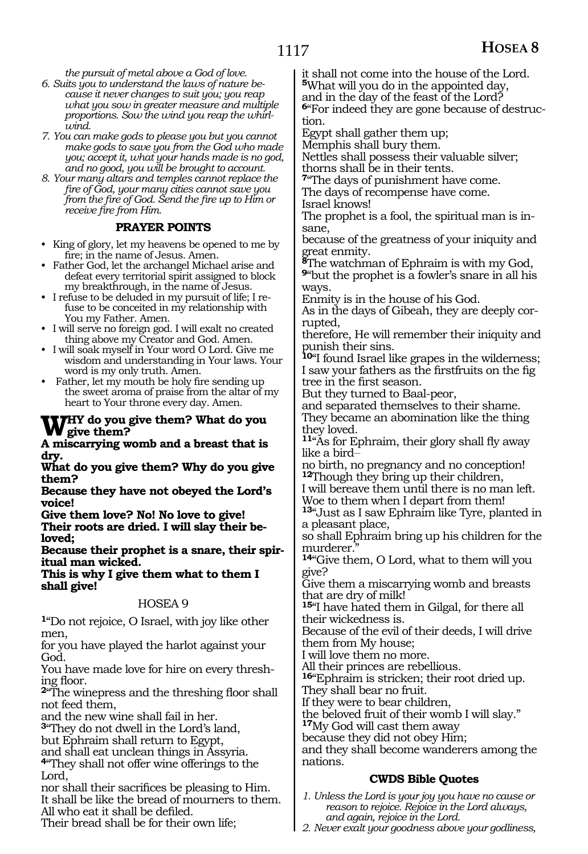*the pursuit of metal above a God of love.* 

- *6. Suits you to understand the laws of nature because it never changes to suit you; you reap what you sow in greater measure and multiple proportions. Sow the wind you reap the whirlwind.*
- *7. You can make gods to please you but you cannot make gods to save you from the God who made you; accept it, what your hands made is no god, and no good, you will be brought to account.*
- *8. Your many altars and temples cannot replace the fire of God, your many cities cannot save you from the fire of God. Send the fire up to Him or receive fire from Him.*

#### **PRAYER POINTS**

- King of glory, let my heavens be opened to me by fire; in the name of Jesus. Amen.
- • Father God, let the archangel Michael arise and defeat every territorial spirit assigned to block my breakthrough, in the name of Jesus.
- • I refuse to be deluded in my pursuit of life; I refuse to be conceited in my relationship with You my Father. Amen.
- • I will serve no foreign god. I will exalt no created thing above my Creator and God. Amen.
- • I will soak myself in Your word O Lord. Give me wisdom and understanding in Your laws. Your word is my only truth. Amen.
- Father, let my mouth be holy fire sending up the sweet aroma of praise from the altar of my heart to Your throne every day. Amen.

## **Why do you give them? What do you give them?**

#### **A miscarrying womb and a breast that is dry.**

**What do you give them? Why do you give them?**

**Because they have not obeyed the Lord's voice!**

**Give them love? No! No love to give!**

**Their roots are dried. I will slay their beloved;**

**Because their prophet is a snare, their spiritual man wicked.**

**This is why I give them what to them I shall give!**

#### HOSEA 9

**<sup>1</sup>**"Do not rejoice, O Israel, with joy like other men,

for you have played the harlot against your God.

You have made love for hire on every threshing floor.

**<sup>2</sup>**"The winepress and the threshing floor shall not feed them,

and the new wine shall fail in her.

**<sup>3</sup>**"They do not dwell in the Lord's land,

but Ephraim shall return to Egypt, and shall eat unclean things in Assyria.

**<sup>4</sup>**"They shall not offer wine offerings to the Lord,

nor shall their sacrifices be pleasing to Him. It shall be like the bread of mourners to them. All who eat it shall be defiled.

Their bread shall be for their own life;

it shall not come into the house of the Lord. **<sup>5</sup>**What will you do in the appointed day,

and in the day of the feast of the Lord?

**6**"For indeed they are gone because of destruction.

Egypt shall gather them up;

Memphis shall bury them.

Nettles shall possess their valuable silver; thorns shall be in their tents.

**<sup>7</sup>**"The days of punishment have come.

The days of recompense have come.

Israel knows!

The prophet is a fool, the spiritual man is insane,

because of the greatness of your iniquity and great enmity.

**<sup>8</sup>**The watchman of Ephraim is with my God, **<sup>9</sup>**"but the prophet is a fowler's snare in all his ways.

Enmity is in the house of his God.

As in the days of Gibeah, they are deeply corrupted,

therefore, He will remember their iniquity and punish their sins.

**<sup>10</sup>**"I found Israel like grapes in the wilderness; I saw your fathers as the firstfruits on the fig tree in the first season.

But they turned to Baal-peor,

and separated themselves to their shame. They became an abomination like the thing

they loved.

**<sup>11</sup>**"As for Ephraim, their glory shall fly away like a bird\_\_

no birth, no pregnancy and no conception! **<sup>12</sup>**Though they bring up their children,

I will bereave them until there is no man left. Woe to them when I depart from them!

**<sup>13</sup>**"Just as I saw Ephraim like Tyre, planted in a pleasant place,

so shall Ephraim bring up his children for the murderer.

**<sup>14</sup>**"Give them, O Lord, what to them will you give?

Give them a miscarrying womb and breasts that are dry of milk!

**<sup>15</sup>**"I have hated them in Gilgal, for there all their wickedness is.

Because of the evil of their deeds, I will drive them from My house;

I will love them no more.<br>All their princes are rebellious.

16"Ephraim is stricken; their root dried up.

They shall bear no fruit.

If they were to bear children,

the beloved fruit of their womb I will slay."

**<sup>17</sup>**My God will cast them away

because they did not obey Him;

and they shall become wanderers among the nations.

#### **CWDS Bible Quotes**

*1. Unless the Lord is your joy you have no cause or reason to rejoice. Rejoice in the Lord always, and again, rejoice in the Lord.*

*2. Never exalt your goodness above your godliness,*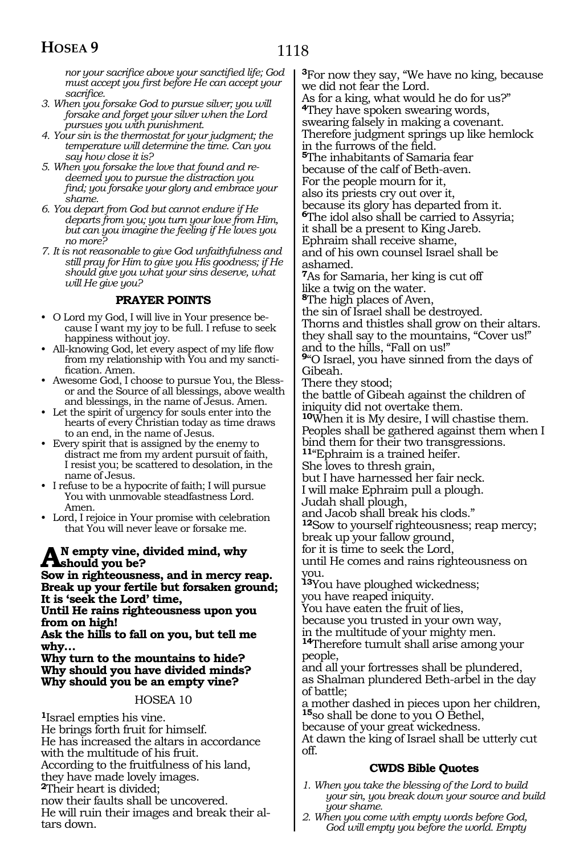*nor your sacrifice above your sanctified life; God must accept you first before He can accept your sacrifice.*

- *3. When you forsake God to pursue silver; you will forsake and forget your silver when the Lord pursues you with punishment.*
- *4. Your sin is the thermostat for your judgment; the temperature will determine the time. Can you say how close it is?*
- *5. When you forsake the love that found and redeemed you to pursue the distraction you find; you forsake your glory and embrace your shame.*
- *6. You depart from God but cannot endure if He departs from you; you turn your love from Him, but can you imagine the feeling if He loves you no more?*
- *7. It is not reasonable to give God unfaithfulness and still pray for Him to give you His goodness; if He should give you what your sins deserve, what will He give you?*

#### **PRAYER POINTS**

- O Lord my God, I will live in Your presence because I want my joy to be full. I refuse to seek happiness without joy.
- • All-knowing God, let every aspect of my life flow from my relationship with You and my sanctification. Amen.
- • Awesome God, I choose to pursue You, the Blessor and the Source of all blessings, above wealth and blessings, in the name of Jesus. Amen.
- • Let the spirit of urgency for souls enter into the hearts of every Christian today as time draws to an end, in the name of Jesus.
- • Every spirit that is assigned by the enemy to distract me from my ardent pursuit of faith, I resist you; be scattered to desolation, in the name of Jesus.
- I refuse to be a hypocrite of faith; I will pursue You with unmovable steadfastness Lord. Amen.
- • Lord, I rejoice in Your promise with celebration that You will never leave or forsake me.

## A<sup>N</sup> empty vine, divided mind, why<br> **Souting distances and in mores r**

**Sow in righteousness, and in mercy reap. Break up your fertile but forsaken ground; It is 'seek the Lord' time,** 

**Until He rains righteousness upon you from on high!**

**Ask the hills to fall on you, but tell me why…**

**Why turn to the mountains to hide? Why should you have divided minds? Why should you be an empty vine?**

#### HOSEA 10

**<sup>1</sup>**Israel empties his vine. He brings forth fruit for himself. He has increased the altars in accordance with the multitude of his fruit. According to the fruitfulness of his land, they have made lovely images. **<sup>2</sup>**Their heart is divided; now their faults shall be uncovered. He will ruin their images and break their altars down.

**<sup>3</sup>**For now they say, "We have no king, because we did not fear the Lord. As for a king, what would he do for us?" **<sup>4</sup>**They have spoken swearing words, swearing falsely in making a covenant. Therefore judgment springs up like hemlock in the furrows of the field. **<sup>5</sup>**The inhabitants of Samaria fear because of the calf of Beth-aven. For the people mourn for it, also its priests cry out over it, because its glory has departed from it. **<sup>6</sup>**The idol also shall be carried to Assyria; it shall be a present to King Jareb. Ephraim shall receive shame, and of his own counsel Israel shall be ashamed. **<sup>7</sup>**As for Samaria, her king is cut off like a twig on the water.

**<sup>8</sup>**The high places of Aven,

the sin of Israel shall be destroyed.

Thorns and thistles shall grow on their altars. they shall say to the mountains, "Cover us!" and to the hills, "Fall on us!"

**<sup>9</sup>**"O Israel, you have sinned from the days of Gibeah.

There they stood;

the battle of Gibeah against the children of iniquity did not overtake them.

**<sup>10</sup>**When it is My desire, I will chastise them. Peoples shall be gathered against them when I bind them for their two transgressions.

**<sup>11</sup>**"Ephraim is a trained heifer.

She loves to thresh grain,

but I have harnessed her fair neck.

I will make Ephraim pull a plough.

Judah shall plough,

and Jacob shall break his clods."

**<sup>12</sup>**Sow to yourself righteousness; reap mercy; break up your fallow ground,

for it is time to seek the Lord,

until He comes and rains righteousness on you.

**<sup>13</sup>**You have ploughed wickedness; you have reaped iniquity.

You have eaten the fruit of lies,

because you trusted in your own way,

in the multitude of your mighty men.

**<sup>14</sup>**Therefore tumult shall arise among your people,

and all your fortresses shall be plundered, as Shalman plundered Beth-arbel in the day of battle;

a mother dashed in pieces upon her children, **<sup>15</sup>**so shall be done to you O Bethel,

because of your great wickedness.

At dawn the king of Israel shall be utterly cut off.

#### **CWDS Bible Quotes**

- *1. When you take the blessing of the Lord to build your sin, you break down your source and build your shame.*
- *2. When you come with empty words before God, God will empty you before the world. Empty*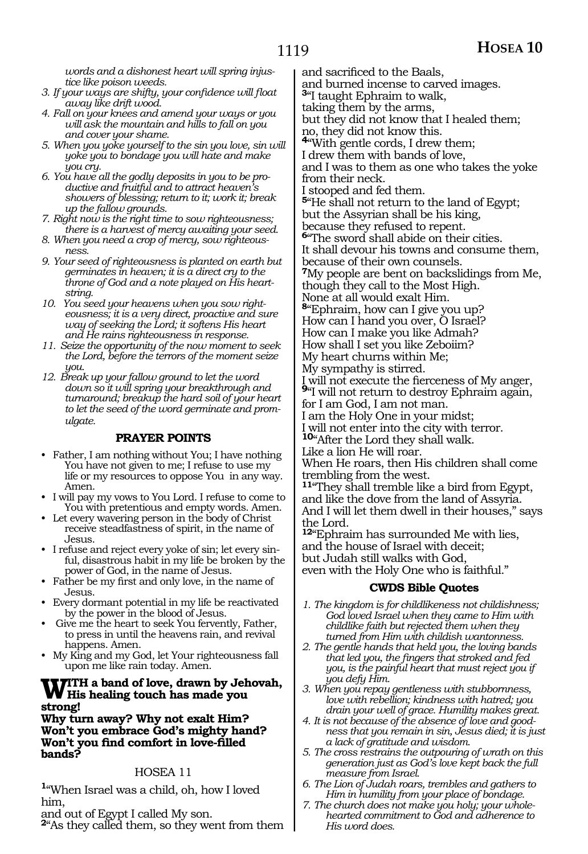*words and a dishonest heart will spring injustice like poison weeds.*

- *3. If your ways are shifty, your confidence will float away like drift wood.*
- *4. Fall on your knees and amend your ways or you will ask the mountain and hills to fall on you and cover your shame.*
- *5. When you yoke yourself to the sin you love, sin will yoke you to bondage you will hate and make you cry.*
- *6. You have all the godly deposits in you to be productive and fruitful and to attract heaven's showers of blessing; return to it; work it; break up the fallow grounds.*
- *7. Right now is the right time to sow righteousness; there is a harvest of mercy awaiting your seed.*
- *8. When you need a crop of mercy, sow righteousness.*
- *9. Your seed of righteousness is planted on earth but germinates in heaven; it is a direct cry to the throne of God and a note played on His heartstring.*
- *10. You seed your heavens when you sow righteousness; it is a very direct, proactive and sure way of seeking the Lord; it softens His heart and He rains righteousness in response.*
- *11. Seize the opportunity of the now moment to seek the Lord, before the terrors of the moment seize you.*
- *12. Break up your fallow ground to let the word down so it will spring your breakthrough and turnaround; breakup the hard soil of your heart to let the seed of the word germinate and promulgate.*

#### **PRAYER POINTS**

- Father, I am nothing without You; I have nothing You have not given to me; I refuse to use my life or my resources to oppose You in any way. Amen.
- • I will pay my vows to You Lord. I refuse to come to You with pretentious and empty words. Amen.
- • Let every wavering person in the body of Christ receive steadfastness of spirit, in the name of Jesus.
- • I refuse and reject every yoke of sin; let every sinful, disastrous habit in my life be broken by the power of God, in the name of Jesus.
- Father be my first and only love, in the name of Jesus.
- • Every dormant potential in my life be reactivated by the power in the blood of Jesus.
- Give me the heart to seek You fervently, Father, to press in until the heavens rain, and revival happens. Amen.
- My King and my God, let Your righteousness fall upon me like rain today. Amen.

## **With a band of love, drawn by Jehovah, His healing touch has made you strong!**

**Why turn away? Why not exalt Him? Won't you embrace God's mighty hand? Won't you find comfort in love-filled bands?**

#### HOSEA 11

**<sup>1</sup>**"When Israel was a child, oh, how I loved him,

and out of Egypt I called My son.

**<sup>2</sup>**"As they called them, so they went from them

and sacrificed to the Baals,

and burned incense to carved images.

**<sup>3</sup>**"I taught Ephraim to walk,

taking them by the arms,

but they did not know that I healed them;

no, they did not know this. **<sup>4</sup>**"With gentle cords, I drew them;

I drew them with bands of love, and I was to them as one who takes the yoke

from their neck.

I stooped and fed them.

**<sup>5</sup>**"He shall not return to the land of Egypt; but the Assyrian shall be his king,

because they refused to repent.

**<sup>6</sup>**"The sword shall abide on their cities.

It shall devour his towns and consume them, because of their own counsels.

**<sup>7</sup>**My people are bent on backslidings from Me, though they call to the Most High.

None at all would exalt Him.

**<sup>8</sup>**"Ephraim, how can I give you up?

How can I hand you over, O Israel?

How can I make you like Admah? How shall I set you like Zeboiim?

My heart churns within Me;

My sympathy is stirred.

<sup>I</sup> will not execute the fierceness of My anger, **<sup>9</sup>**"I will not return to destroy Ephraim again,

for I am God, I am not man.

I am the Holy One in your midst;

I will not enter into the city with terror.

**<sup>10</sup>**"After the Lord they shall walk.

Like a lion He will roar.

When He roars, then His children shall come trembling from the west.

**<sup>11</sup>**"They shall tremble like a bird from Egypt, and like the dove from the land of Assyria. And I will let them dwell in their houses," says the Lord.

**<sup>12</sup>**"Ephraim has surrounded Me with lies, and the house of Israel with deceit; but Judah still walks with God, even with the Holy One who is faithful."

#### **CWDS Bible Quotes**

- *1. The kingdom is for childlikeness not childishness; God loved Israel when they came to Him with childlike faith but rejected them when they turned from Him with childish wantonness.*
- *2. The gentle hands that held you, the loving bands that led you, the fingers that stroked and fed you, is the painful heart that must reject you if you defy Him.*
- *3. When you repay gentleness with stubbornness, love with rebellion; kindness with hatred; you drain your well of grace. Humility makes great.*
- *4. It is not because of the absence of love and goodness that you remain in sin, Jesus died; it is just a lack of gratitude and wisdom.*
- *5. The cross restrains the outpouring of wrath on this generation just as God's love kept back the full measure from Israel.*
- *6. The Lion of Judah roars, trembles and gathers to Him in humility from your place of bondage.*
- *7. The church does not make you holy; your wholehearted commitment to God and adherence to His word does.*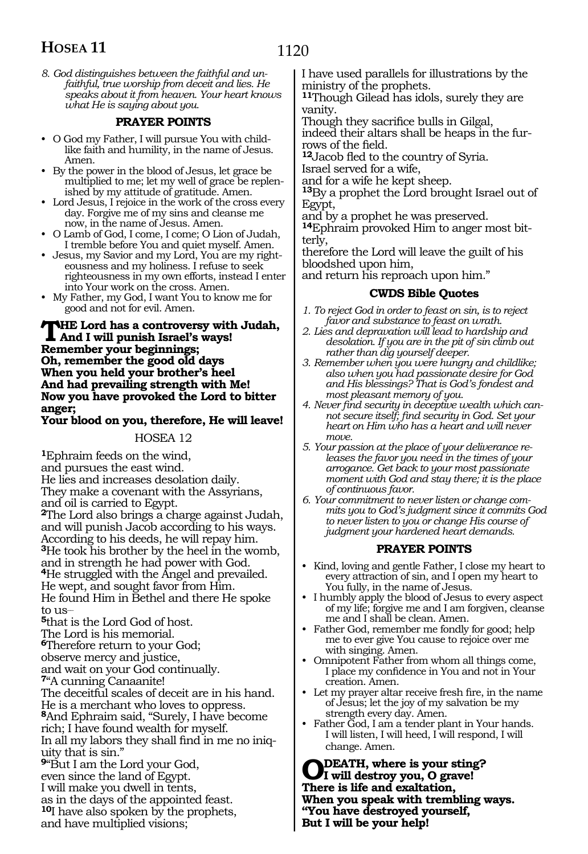*8. God distinguishes between the faithful and unfaithful, true worship from deceit and lies. He speaks about it from heaven. Your heart knows what He is saying about you.*

#### **PRAYER POINTS**

- • O God my Father, I will pursue You with childlike faith and humility, in the name of Jesus. Amen.
- • By the power in the blood of Jesus, let grace be multiplied to me; let my well of grace be replenished by my attitude of gratitude. Amen.
- Lord Jesus, I rejoice in the work of the cross every day. Forgive me of my sins and cleanse me now, in the name of Jesus. Amen.
- • O Lamb of God, I come, I come; O Lion of Judah, I tremble before You and quiet myself. Amen.
- • Jesus, my Savior and my Lord, You are my righteousness and my holiness. I refuse to seek righteousness in my own efforts, instead I enter into Your work on the cross. Amen.
- • My Father, my God, I want You to know me for good and not for evil. Amen.

#### **The Lord has a controversy with Judah, And I will punish Israel's ways! Remember your beginnings; Oh, remember the good old days When you held your brother's heel And had prevailing strength with Me! Now you have provoked the Lord to bitter anger;**

**Your blood on you, therefore, He will leave!**

#### HOSEA 12

**<sup>1</sup>**Ephraim feeds on the wind, and pursues the east wind. He lies and increases desolation daily. They make a covenant with the Assyrians, and oil is carried to Egypt. **<sup>2</sup>**The Lord also brings a charge against Judah, and will punish Jacob according to his ways. According to his deeds, he will repay him. **<sup>3</sup>**He took his brother by the heel in the womb,

and in strength he had power with God. **<sup>4</sup>**He struggled with the Angel and prevailed. He wept, and sought favor from Him. He found Him in Bethel and there He spoke to  $118-$ 

**<sup>5</sup>**that is the Lord God of host. The Lord is his memorial. **<sup>6</sup>**Therefore return to your God; observe mercy and justice, and wait on your God continually. **<sup>7</sup>**"A cunning Canaanite!

The deceitful scales of deceit are in his hand. He is a merchant who loves to oppress. **<sup>8</sup>**And Ephraim said, "Surely, I have become rich; I have found wealth for myself. In all my labors they shall find in me no iniq- uity that is sin." **<sup>9</sup>**"But I am the Lord your God,

even since the land of Egypt.

I will make you dwell in tents,

as in the days of the appointed feast.

**<sup>10</sup>**I have also spoken by the prophets, and have multiplied visions;

I have used parallels for illustrations by the ministry of the prophets.

**<sup>11</sup>**Though Gilead has idols, surely they are vanity.

Though they sacrifice bulls in Gilgal,

indeed their altars shall be heaps in the furrows of the field.

**<sup>12</sup>**Jacob fled to the country of Syria.

Israel served for a wife,

and for a wife he kept sheep.

**<sup>13</sup>**By a prophet the Lord brought Israel out of Egypt,

and by a prophet he was preserved.

**14**Ephraim provoked Him to anger most bitterly,

therefore the Lord will leave the guilt of his bloodshed upon him,

and return his reproach upon him."

#### **CWDS Bible Quotes**

- *1. To reject God in order to feast on sin, is to reject favor and substance to feast on wrath.*
- *2. Lies and depravation will lead to hardship and desolation. If you are in the pit of sin climb out rather than dig yourself deeper.*
- *3. Remember when you were hungry and childlike; also when you had passionate desire for God and His blessings? That is God's fondest and most pleasant memory of you.*
- *4. Never find security in deceptive wealth which cannot secure itself; find security in God. Set your heart on Him who has a heart and will never*   $m$  $n$  $p$

*5. Your passion at the place of your deliverance releases the favor you need in the times of your arrogance. Get back to your most passionate moment with God and stay there; it is the place of continuous favor.*

*6. Your commitment to never listen or change commits you to God's judgment since it commits God to never listen to you or change His course of judgment your hardened heart demands.*

#### **PRAYER POINTS**

- • Kind, loving and gentle Father, I close my heart to every attraction of sin, and I open my heart to You fully, in the name of Jesus.
- • I humbly apply the blood of Jesus to every aspect of my life; forgive me and I am forgiven, cleanse me and I shall be clean. Amen.
- Father God, remember me fondly for good; help me to ever give You cause to rejoice over me with singing. Amen.
- Omnipotent Father from whom all things come, I place my confidence in You and not in Your creation. Amen.
- • Let my prayer altar receive fresh fire, in the name of Jesus; let the joy of my salvation be my strength every day. Amen.
- Father God, I am a tender plant in Your hands. I will listen, I will heed, I will respond, I will change. Amen.

**O death, where is your sting? I will destroy you, O grave! There is life and exaltation, When you speak with trembling ways. "You have destroyed yourself, But I will be your help!**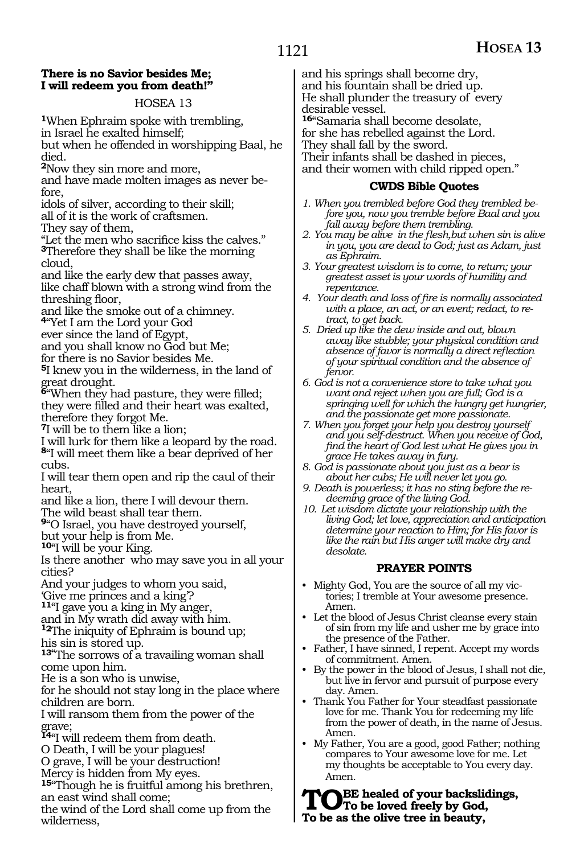#### **There is no Savior besides Me; I will redeem you from death!"**

#### HOSEA 13

**<sup>1</sup>**When Ephraim spoke with trembling, in Israel he exalted himself; but when he offended in worshipping Baal, he

died.

**<sup>2</sup>**Now they sin more and more,

and have made molten images as never before,

idols of silver, according to their skill;

all of it is the work of craftsmen.

They say of them,

"Let the men who sacrifice kiss the calves." **<sup>3</sup>**Therefore they shall be like the morning cloud,

and like the early dew that passes away, like chaff blown with a strong wind from the threshing floor,

and like the smoke out of a chimney.

**<sup>4</sup>**"Yet I am the Lord your God

ever since the land of Egypt,

and you shall know no God but Me;

for there is no Savior besides Me.

**<sup>5</sup>**I knew you in the wilderness, in the land of great drought.

**<sup>6</sup>**"When they had pasture, they were filled; they were filled and their heart was exalted, therefore they forgot Me.

**<sup>7</sup>**I will be to them like a lion;

I will lurk for them like a leopard by the road. **<sup>8</sup>**"I will meet them like a bear deprived of her cubs.

I will tear them open and rip the caul of their heart,

and like a lion, there I will devour them.

The wild beast shall tear them.

**<sup>9</sup>**"O Israel, you have destroyed yourself,

but your help is from Me.

**<sup>10</sup>**"I will be your King.

Is there another who may save you in all your cities?

And your judges to whom you said,

'Give me princes and a king'?

**<sup>11</sup>**"I gave you a king in My anger,

and in My wrath did away with him. **<sup>12</sup>**The iniquity of Ephraim is bound up;

his sin is stored up.

**13"**The sorrows of a travailing woman shall come upon him.

He is a son who is unwise,

for he should not stay long in the place where children are born.

I will ransom them from the power of the grave;

**<sup>14</sup>**"I will redeem them from death.

O Death, I will be your plagues!

O grave, I will be your destruction!

Mercy is hidden from My eyes.

**<sup>15</sup>**"Though he is fruitful among his brethren, an east wind shall come;

the wind of the Lord shall come up from the wilderness,

and his springs shall become dry, and his fountain shall be dried up. He shall plunder the treasury of every desirable vessel.

**<sup>16</sup>**"Samaria shall become desolate, for she has rebelled against the Lord.

They shall fall by the sword.

Their infants shall be dashed in pieces, and their women with child ripped open."

#### **CWDS Bible Quotes**

- *1. When you trembled before God they trembled before you, now you tremble before Baal and you fall away before them trembling.*
- *2. You may be alive in the flesh,but when sin is alive in you, you are dead to God; just as Adam, just as Ephraim.*
- *3. Your greatest wisdom is to come, to return; your greatest asset is your words of humility and repentance.*
- *4. Your death and loss of fire is normally associated with a place, an act, or an event; redact, to retract, to get back.*
- *5. Dried up like the dew inside and out, blown away like stubble; your physical condition and absence of favor is normally a direct reflection of your spiritual condition and the absence of fervor.*
- *6. God is not a convenience store to take what you want and reject when you are full; God is a springing well for which the hungry get hungrier, and the passionate get more passionate.*
- *7. When you forget your help you destroy yourself and you self-destruct. When you receive of God, find the heart of God lest what He gives you in grace He takes away in fury.*
- *8. God is passionate about you just as a bear is about her cubs; He will never let you go.*
- *9. Death is powerless; it has no sting before the redeeming grace of the living God.*
- *10. Let wisdom dictate your relationship with the living God; let love, appreciation and anticipation determine your reaction to Him; for His favor is like the rain but His anger will make dry and desolate.*

#### **PRAYER POINTS**

- Mighty God, You are the source of all my victories; I tremble at Your awesome presence. Amen.
- Let the blood of Jesus Christ cleanse every stain of sin from my life and usher me by grace into the presence of the Father.
- Father, I have sinned, I repent. Accept my words of commitment. Amen.
- By the power in the blood of Jesus, I shall not die, but live in fervor and pursuit of purpose every day. Amen.
- Thank You Father for Your steadfast passionate love for me. Thank You for redeeming my life from the power of death, in the name of Jesus. Amen.
- My Father, You are a good, good Father; nothing compares to Your awesome love for me. Let my thoughts be acceptable to You every day. Amen.

**TO**BE healed of your backslidings,<br>
To be loved freely by God,<br>
The best the elimetric in beauty. **To be as the olive tree in beauty,**